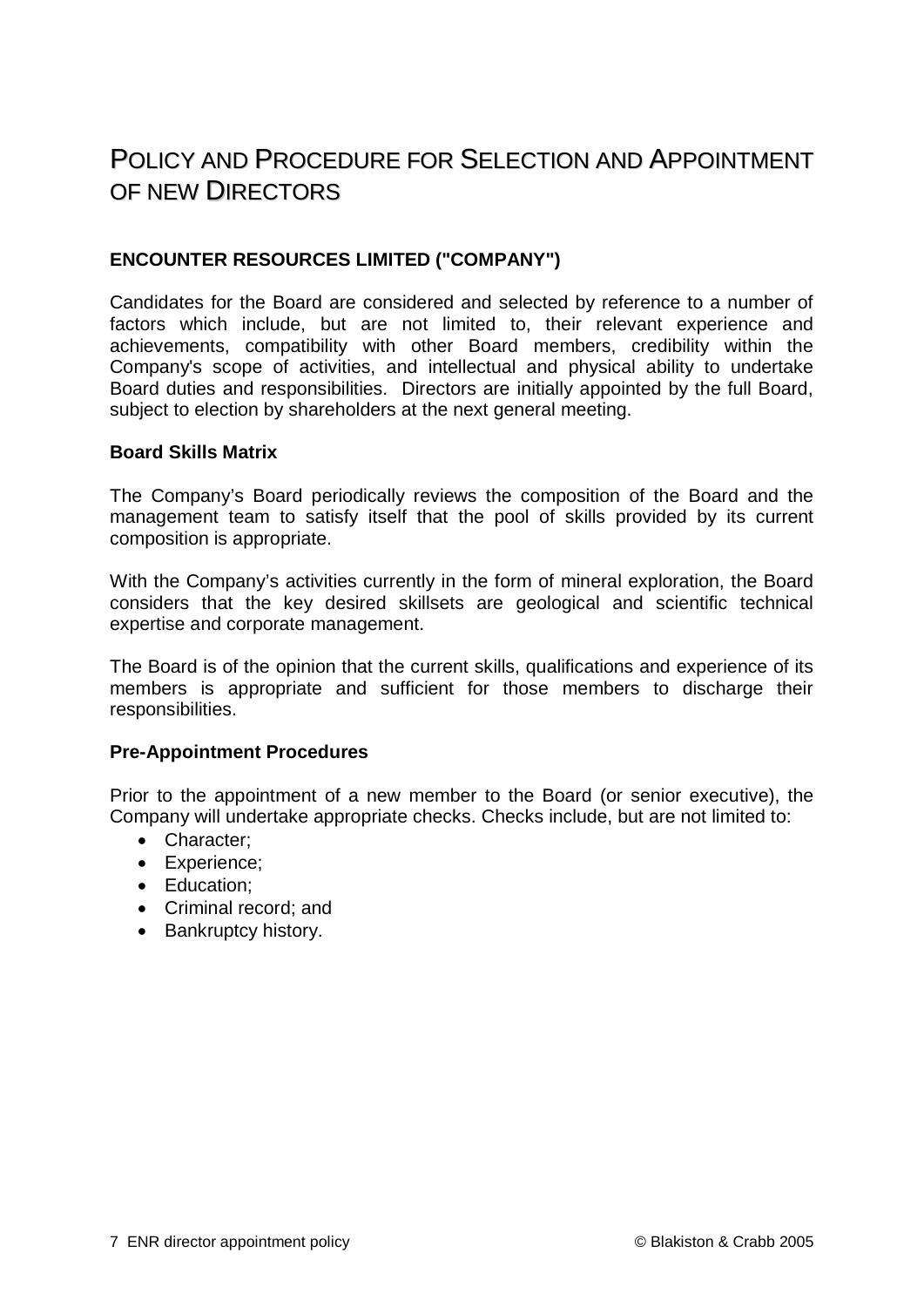# POLICY AND PROCEDURE FOR SELECTION AND APPOINTMENT OF NEW DIRECTORS

## **ENCOUNTER RESOURCES LIMITED ("COMPANY")**

Candidates for the Board are considered and selected by reference to a number of factors which include, but are not limited to, their relevant experience and achievements, compatibility with other Board members, credibility within the Company's scope of activities, and intellectual and physical ability to undertake Board duties and responsibilities. Directors are initially appointed by the full Board, subject to election by shareholders at the next general meeting.

#### **Board Skills Matrix**

The Company's Board periodically reviews the composition of the Board and the management team to satisfy itself that the pool of skills provided by its current composition is appropriate.

With the Company's activities currently in the form of mineral exploration, the Board considers that the key desired skillsets are geological and scientific technical expertise and corporate management.

The Board is of the opinion that the current skills, qualifications and experience of its members is appropriate and sufficient for those members to discharge their responsibilities.

## **Pre-Appointment Procedures**

Prior to the appointment of a new member to the Board (or senior executive), the Company will undertake appropriate checks. Checks include, but are not limited to:

- Character;
- Experience;
- Education;
- Criminal record; and
- Bankruptcy history.